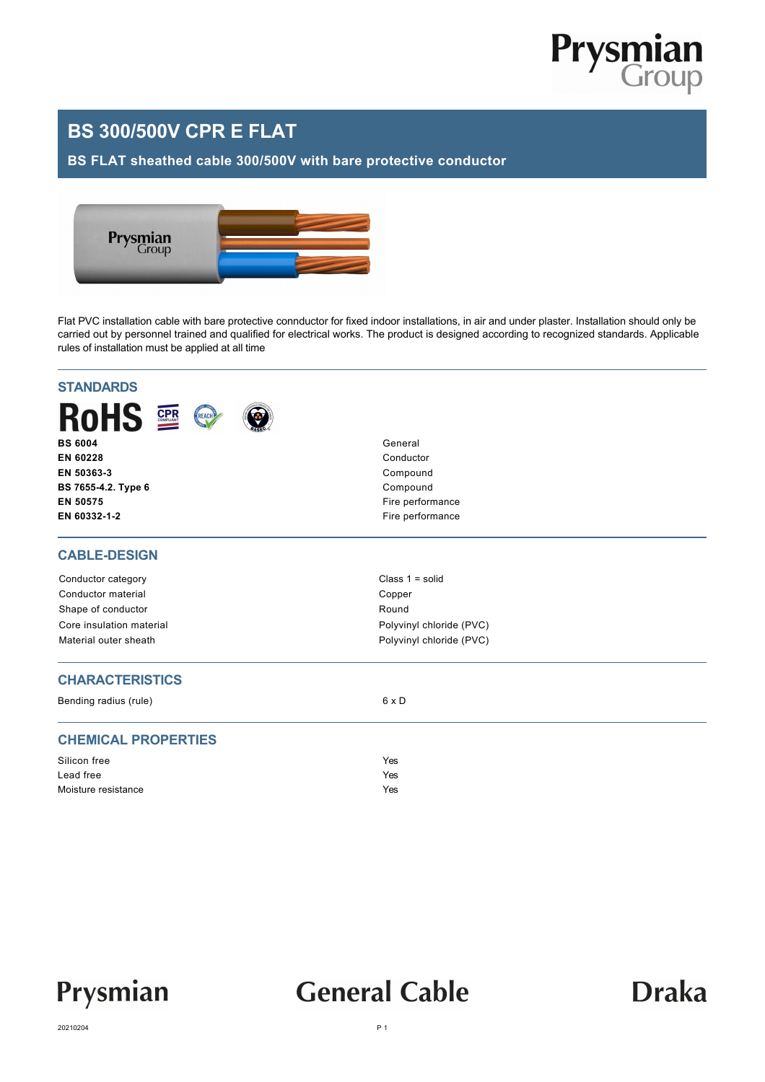

### **BS 300/500V CPR E FLAT**

#### **BS FLAT sheathed cable 300/500V with bare protective conductor**



Flat PVC installation cable with bare protective connductor for fixed indoor installations, in air and under plaster. Installation should only be carried out by personnel trained and qualified for electrical works. The product is designed according to recognized standards. Applicable rules of installation must be applied at all time

| <b>RoHS 2</b><br>REACH     |                          |  |  |  |
|----------------------------|--------------------------|--|--|--|
| <b>BS 6004</b>             | General                  |  |  |  |
| EN 60228                   | Conductor                |  |  |  |
| EN 50363-3                 | Compound                 |  |  |  |
| BS 7655-4.2. Type 6        | Compound                 |  |  |  |
| EN 50575                   | Fire performance         |  |  |  |
| EN 60332-1-2               | Fire performance         |  |  |  |
| <b>CABLE-DESIGN</b>        |                          |  |  |  |
| Conductor category         | Class $1 = solid$        |  |  |  |
| Conductor material         | Copper                   |  |  |  |
| Shape of conductor         | Round                    |  |  |  |
| Core insulation material   | Polyvinyl chloride (PVC) |  |  |  |
| Material outer sheath      | Polyvinyl chloride (PVC) |  |  |  |
| <b>CHARACTERISTICS</b>     |                          |  |  |  |
| Bending radius (rule)      | 6 x D                    |  |  |  |
| <b>CHEMICAL PROPERTIES</b> |                          |  |  |  |
| Silicon free               | Yes                      |  |  |  |
| Lead free                  | Yes                      |  |  |  |
|                            |                          |  |  |  |



## **General Cable**